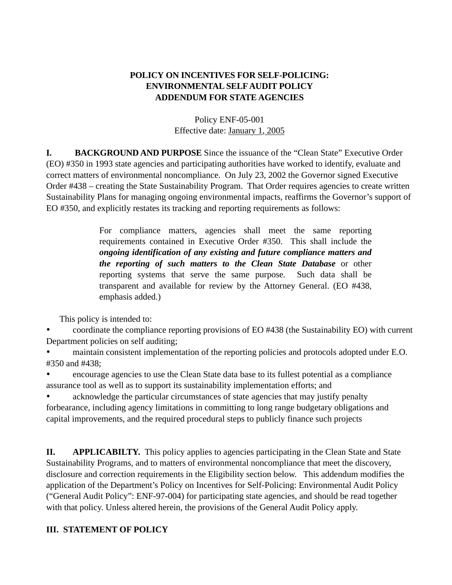## **POLICY ON INCENTIVES FOR SELF-POLICING: ENVIRONMENTAL SELF AUDIT POLICY ADDENDUM FOR STATE AGENCIES**

## Policy ENF-05-001 Effective date: January 1, 2005

**I. BACKGROUND AND PURPOSE** Since the issuance of the "Clean State" Executive Order (EO) #350 in 1993 state agencies and participating authorities have worked to identify, evaluate and correct matters of environmental noncompliance. On July 23, 2002 the Governor signed Executive Order #438 – creating the State Sustainability Program. That Order requires agencies to create written Sustainability Plans for managing ongoing environmental impacts, reaffirms the Governor's support of EO #350, and explicitly restates its tracking and reporting requirements as follows:

> For compliance matters, agencies shall meet the same reporting requirements contained in Executive Order #350. This shall include the *ongoing identification of any existing and future compliance matters and the reporting of such matters to the Clean State Database* or other reporting systems that serve the same purpose. Such data shall be transparent and available for review by the Attorney General. (EO #438, emphasis added.)

This policy is intended to:

• coordinate the compliance reporting provisions of EO #438 (the Sustainability EO) with current Department policies on self auditing;

• maintain consistent implementation of the reporting policies and protocols adopted under E.O. #350 and #438;

• encourage agencies to use the Clean State data base to its fullest potential as a compliance assurance tool as well as to support its sustainability implementation efforts; and

acknowledge the particular circumstances of state agencies that may justify penalty forbearance, including agency limitations in committing to long range budgetary obligations and capital improvements, and the required procedural steps to publicly finance such projects

**II. APPLICABILTY.** This policy applies to agencies participating in the Clean State and State Sustainability Programs, and to matters of environmental noncompliance that meet the discovery, disclosure and correction requirements in the Eligibility section below. This addendum modifies the application of the Department's Policy on Incentives for Self-Policing: Environmental Audit Policy ("General Audit Policy": ENF-97-004) for participating state agencies, and should be read together with that policy. Unless altered herein, the provisions of the General Audit Policy apply.

## **III. STATEMENT OF POLICY**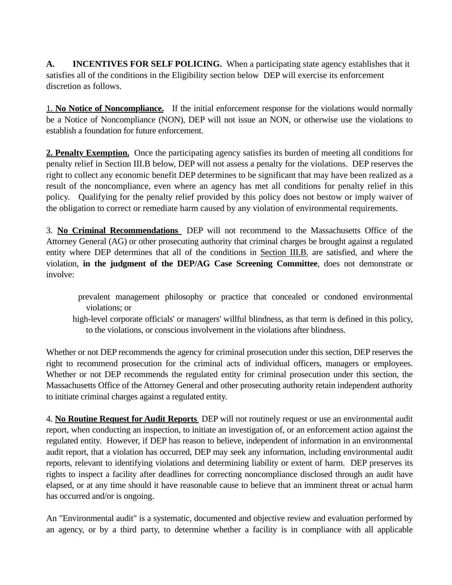**A. INCENTIVES FOR SELF POLICING.** When a participating state agency establishes that it satisfies all of the conditions in the Eligibility section below DEP will exercise its enforcement discretion as follows.

1. **No Notice of Noncompliance.** If the initial enforcement response for the violations would normally be a Notice of Noncompliance (NON), DEP will not issue an NON, or otherwise use the violations to establish a foundation for future enforcement.

**2. Penalty Exemption.** Once the participating agency satisfies its burden of meeting all conditions for penalty relief in Section III.B below, DEP will not assess a penalty for the violations. DEP reserves the right to collect any economic benefit DEP determines to be significant that may have been realized as a result of the noncompliance, even where an agency has met all conditions for penalty relief in this policy. Qualifying for the penalty relief provided by this policy does not bestow or imply waiver of the obligation to correct or remediate harm caused by any violation of environmental requirements.

3. **No Criminal Recommendations** DEP will not recommend to the Massachusetts Office of the Attorney General (AG) or other prosecuting authority that criminal charges be brought against a regulated entity where DEP determines that all of the conditions in Section III.B. are satisfied, and where the violation, **in the judgment of the DEP/AG Case Screening Committee**, does not demonstrate or involve:

- prevalent management philosophy or practice that concealed or condoned environmental violations; or
- high-level corporate officials' or managers' willful blindness, as that term is defined in this policy, to the violations, or conscious involvement in the violations after blindness.

Whether or not DEP recommends the agency for criminal prosecution under this section, DEP reserves the right to recommend prosecution for the criminal acts of individual officers, managers or employees. Whether or not DEP recommends the regulated entity for criminal prosecution under this section, the Massachusetts Office of the Attorney General and other prosecuting authority retain independent authority to initiate criminal charges against a regulated entity.

4. **No Routine Request for Audit Reports** DEP will not routinely request or use an environmental audit report, when conducting an inspection, to initiate an investigation of, or an enforcement action against the regulated entity. However, if DEP has reason to believe, independent of information in an environmental audit report, that a violation has occurred, DEP may seek any information, including environmental audit reports, relevant to identifying violations and determining liability or extent of harm. DEP preserves its rights to inspect a facility after deadlines for correcting noncompliance disclosed through an audit have elapsed, or at any time should it have reasonable cause to believe that an imminent threat or actual harm has occurred and/or is ongoing.

An "Environmental audit" is a systematic, documented and objective review and evaluation performed by an agency, or by a third party, to determine whether a facility is in compliance with all applicable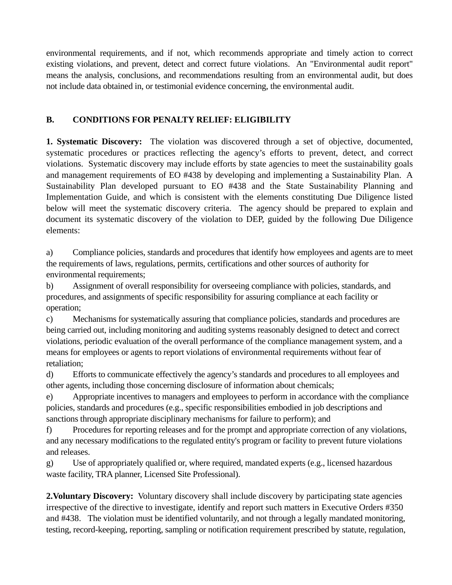environmental requirements, and if not, which recommends appropriate and timely action to correct existing violations, and prevent, detect and correct future violations. An "Environmental audit report" means the analysis, conclusions, and recommendations resulting from an environmental audit, but does not include data obtained in, or testimonial evidence concerning, the environmental audit.

## **B. CONDITIONS FOR PENALTY RELIEF: ELIGIBILITY**

**1. Systematic Discovery:** The violation was discovered through a set of objective, documented, systematic procedures or practices reflecting the agency's efforts to prevent, detect, and correct violations. Systematic discovery may include efforts by state agencies to meet the sustainability goals and management requirements of EO #438 by developing and implementing a Sustainability Plan. A Sustainability Plan developed pursuant to EO #438 and the State Sustainability Planning and Implementation Guide, and which is consistent with the elements constituting Due Diligence listed below will meet the systematic discovery criteria. The agency should be prepared to explain and document its systematic discovery of the violation to DEP, guided by the following Due Diligence elements:

a) Compliance policies, standards and procedures that identify how employees and agents are to meet the requirements of laws, regulations, permits, certifications and other sources of authority for environmental requirements;

b) Assignment of overall responsibility for overseeing compliance with policies, standards, and procedures, and assignments of specific responsibility for assuring compliance at each facility or operation;

c) Mechanisms for systematically assuring that compliance policies, standards and procedures are being carried out, including monitoring and auditing systems reasonably designed to detect and correct violations, periodic evaluation of the overall performance of the compliance management system, and a means for employees or agents to report violations of environmental requirements without fear of retaliation;

d) Efforts to communicate effectively the agency's standards and procedures to all employees and other agents, including those concerning disclosure of information about chemicals;

e) Appropriate incentives to managers and employees to perform in accordance with the compliance policies, standards and procedures (e.g., specific responsibilities embodied in job descriptions and sanctions through appropriate disciplinary mechanisms for failure to perform); and

f) Procedures for reporting releases and for the prompt and appropriate correction of any violations, and any necessary modifications to the regulated entity's program or facility to prevent future violations and releases.

g) Use of appropriately qualified or, where required, mandated experts (e.g., licensed hazardous waste facility, TRA planner, Licensed Site Professional).

**2. Voluntary Discovery:** Voluntary discovery shall include discovery by participating state agencies irrespective of the directive to investigate, identify and report such matters in Executive Orders #350 and #438. The violation must be identified voluntarily, and not through a legally mandated monitoring, testing, record-keeping, reporting, sampling or notification requirement prescribed by statute, regulation,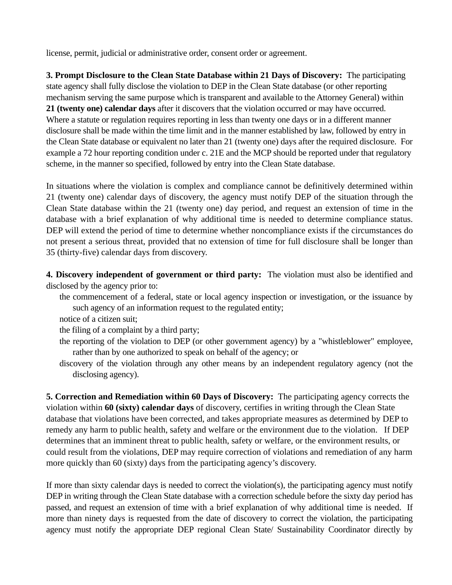license, permit, judicial or administrative order, consent order or agreement.

**3. Prompt Disclosure to the Clean State Database within 21 Days of Discovery:** The participating state agency shall fully disclose the violation to DEP in the Clean State database (or other reporting mechanism serving the same purpose which is transparent and available to the Attorney General) within **21 (twenty one) calendar days** after it discovers that the violation occurred or may have occurred. Where a statute or regulation requires reporting in less than twenty one days or in a different manner disclosure shall be made within the time limit and in the manner established by law, followed by entry in the Clean State database or equivalent no later than 21 (twenty one) days after the required disclosure. For example a 72 hour reporting condition under c. 21E and the MCP should be reported under that regulatory scheme, in the manner so specified, followed by entry into the Clean State database.

In situations where the violation is complex and compliance cannot be definitively determined within 21 (twenty one) calendar days of discovery, the agency must notify DEP of the situation through the Clean State database within the 21 (twenty one) day period, and request an extension of time in the database with a brief explanation of why additional time is needed to determine compliance status. DEP will extend the period of time to determine whether noncompliance exists if the circumstances do not present a serious threat, provided that no extension of time for full disclosure shall be longer than 35 (thirty-five) calendar days from discovery.

**4. Discovery independent of government or third party:** The violation must also be identified and disclosed by the agency prior to:

- the commencement of a federal, state or local agency inspection or investigation, or the issuance by such agency of an information request to the regulated entity;
- notice of a citizen suit;

the filing of a complaint by a third party;

- the reporting of the violation to DEP (or other government agency) by a "whistleblower" employee, rather than by one authorized to speak on behalf of the agency; or
- discovery of the violation through any other means by an independent regulatory agency (not the disclosing agency).

**5. Correction and Remediation within 60 Days of Discovery:** The participating agency corrects the violation within **60 (sixty) calendar days** of discovery, certifies in writing through the Clean State database that violations have been corrected, and takes appropriate measures as determined by DEP to remedy any harm to public health, safety and welfare or the environment due to the violation. If DEP determines that an imminent threat to public health, safety or welfare, or the environment results, or could result from the violations, DEP may require correction of violations and remediation of any harm more quickly than 60 (sixty) days from the participating agency's discovery.

If more than sixty calendar days is needed to correct the violation(s), the participating agency must notify DEP in writing through the Clean State database with a correction schedule before the sixty day period has passed, and request an extension of time with a brief explanation of why additional time is needed. If more than ninety days is requested from the date of discovery to correct the violation, the participating agency must notify the appropriate DEP regional Clean State/ Sustainability Coordinator directly by